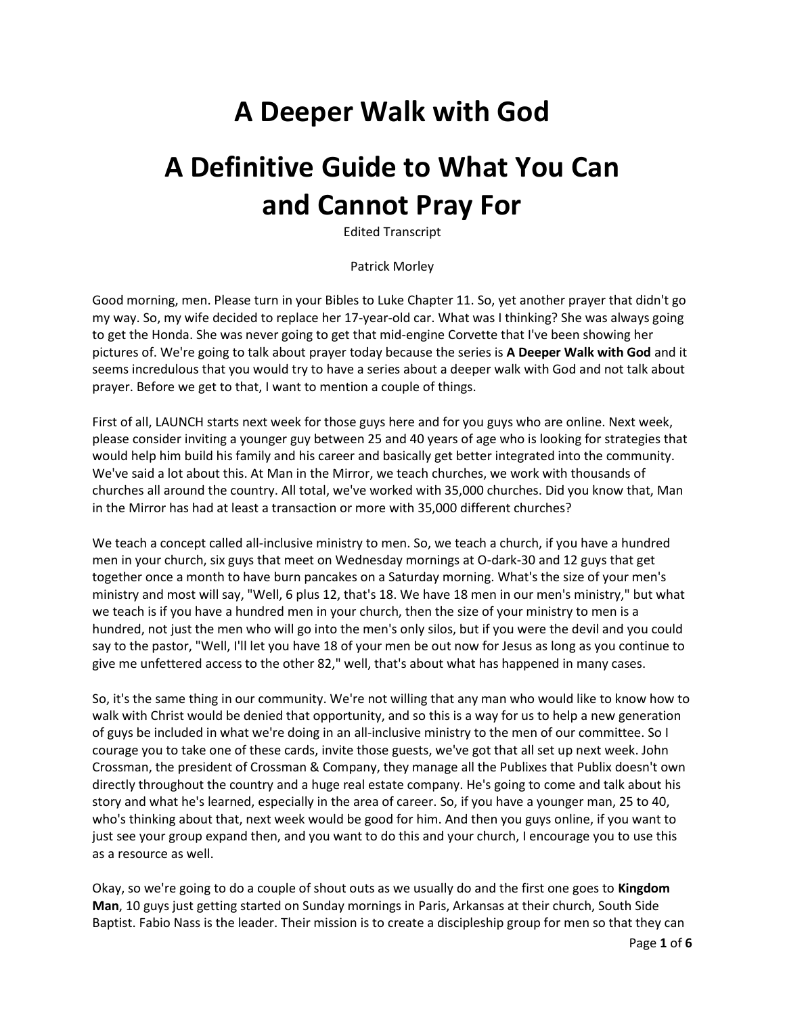## **A Deeper Walk with God**

# **A Definitive Guide to What You Can and Cannot Pray For**

Edited Transcript

Patrick Morley

Good morning, men. Please turn in your Bibles to Luke Chapter 11. So, yet another prayer that didn't go my way. So, my wife decided to replace her 17-year-old car. What was I thinking? She was always going to get the Honda. She was never going to get that mid-engine Corvette that I've been showing her pictures of. We're going to talk about prayer today because the series is **A Deeper Walk with God** and it seems incredulous that you would try to have a series about a deeper walk with God and not talk about prayer. Before we get to that, I want to mention a couple of things.

First of all, LAUNCH starts next week for those guys here and for you guys who are online. Next week, please consider inviting a younger guy between 25 and 40 years of age who is looking for strategies that would help him build his family and his career and basically get better integrated into the community. We've said a lot about this. At Man in the Mirror, we teach churches, we work with thousands of churches all around the country. All total, we've worked with 35,000 churches. Did you know that, Man in the Mirror has had at least a transaction or more with 35,000 different churches?

We teach a concept called all-inclusive ministry to men. So, we teach a church, if you have a hundred men in your church, six guys that meet on Wednesday mornings at O-dark-30 and 12 guys that get together once a month to have burn pancakes on a Saturday morning. What's the size of your men's ministry and most will say, "Well, 6 plus 12, that's 18. We have 18 men in our men's ministry," but what we teach is if you have a hundred men in your church, then the size of your ministry to men is a hundred, not just the men who will go into the men's only silos, but if you were the devil and you could say to the pastor, "Well, I'll let you have 18 of your men be out now for Jesus as long as you continue to give me unfettered access to the other 82," well, that's about what has happened in many cases.

So, it's the same thing in our community. We're not willing that any man who would like to know how to walk with Christ would be denied that opportunity, and so this is a way for us to help a new generation of guys be included in what we're doing in an all-inclusive ministry to the men of our committee. So I courage you to take one of these cards, invite those guests, we've got that all set up next week. John Crossman, the president of Crossman & Company, they manage all the Publixes that Publix doesn't own directly throughout the country and a huge real estate company. He's going to come and talk about his story and what he's learned, especially in the area of career. So, if you have a younger man, 25 to 40, who's thinking about that, next week would be good for him. And then you guys online, if you want to just see your group expand then, and you want to do this and your church, I encourage you to use this as a resource as well.

Okay, so we're going to do a couple of shout outs as we usually do and the first one goes to **Kingdom Man**, 10 guys just getting started on Sunday mornings in Paris, Arkansas at their church, South Side Baptist. Fabio Nass is the leader. Their mission is to create a discipleship group for men so that they can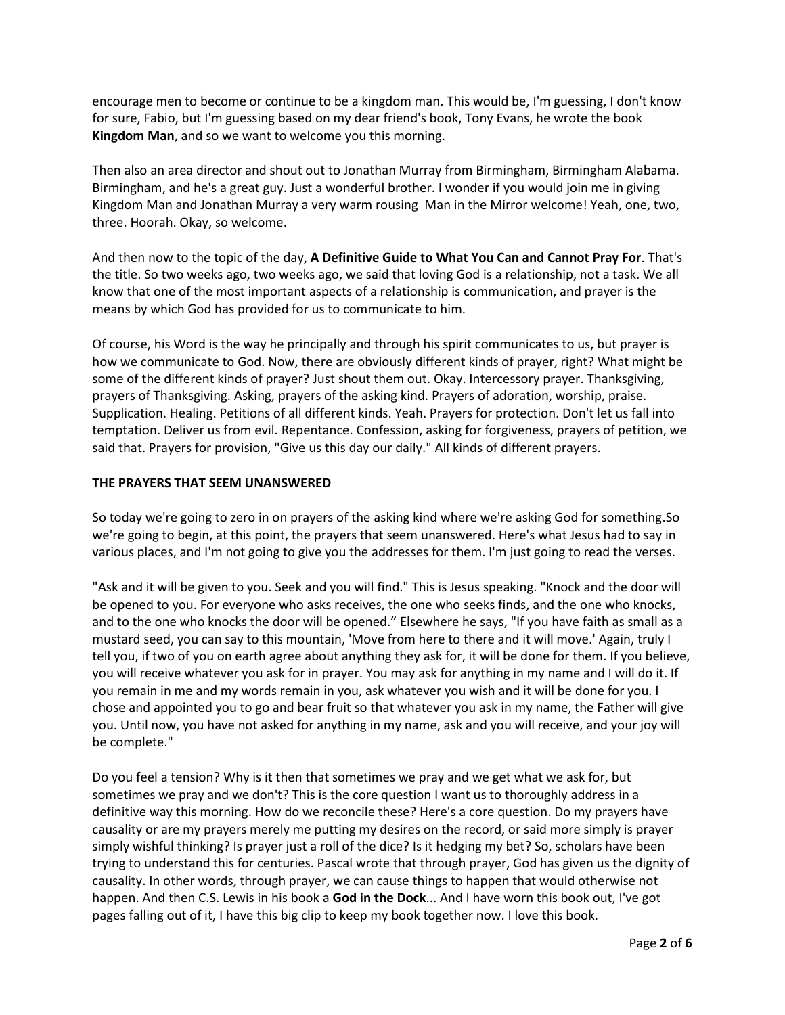encourage men to become or continue to be a kingdom man. This would be, I'm guessing, I don't know for sure, Fabio, but I'm guessing based on my dear friend's book, Tony Evans, he wrote the book **Kingdom Man**, and so we want to welcome you this morning.

Then also an area director and shout out to Jonathan Murray from Birmingham, Birmingham Alabama. Birmingham, and he's a great guy. Just a wonderful brother. I wonder if you would join me in giving Kingdom Man and Jonathan Murray a very warm rousing Man in the Mirror welcome! Yeah, one, two, three. Hoorah. Okay, so welcome.

And then now to the topic of the day, **A Definitive Guide to What You Can and Cannot Pray For**. That's the title. So two weeks ago, two weeks ago, we said that loving God is a relationship, not a task. We all know that one of the most important aspects of a relationship is communication, and prayer is the means by which God has provided for us to communicate to him.

Of course, his Word is the way he principally and through his spirit communicates to us, but prayer is how we communicate to God. Now, there are obviously different kinds of prayer, right? What might be some of the different kinds of prayer? Just shout them out. Okay. Intercessory prayer. Thanksgiving, prayers of Thanksgiving. Asking, prayers of the asking kind. Prayers of adoration, worship, praise. Supplication. Healing. Petitions of all different kinds. Yeah. Prayers for protection. Don't let us fall into temptation. Deliver us from evil. Repentance. Confession, asking for forgiveness, prayers of petition, we said that. Prayers for provision, "Give us this day our daily." All kinds of different prayers.

#### **THE PRAYERS THAT SEEM UNANSWERED**

So today we're going to zero in on prayers of the asking kind where we're asking God for something.So we're going to begin, at this point, the prayers that seem unanswered. Here's what Jesus had to say in various places, and I'm not going to give you the addresses for them. I'm just going to read the verses.

"Ask and it will be given to you. Seek and you will find." This is Jesus speaking. "Knock and the door will be opened to you. For everyone who asks receives, the one who seeks finds, and the one who knocks, and to the one who knocks the door will be opened." Elsewhere he says, "If you have faith as small as a mustard seed, you can say to this mountain, 'Move from here to there and it will move.' Again, truly I tell you, if two of you on earth agree about anything they ask for, it will be done for them. If you believe, you will receive whatever you ask for in prayer. You may ask for anything in my name and I will do it. If you remain in me and my words remain in you, ask whatever you wish and it will be done for you. I chose and appointed you to go and bear fruit so that whatever you ask in my name, the Father will give you. Until now, you have not asked for anything in my name, ask and you will receive, and your joy will be complete."

Do you feel a tension? Why is it then that sometimes we pray and we get what we ask for, but sometimes we pray and we don't? This is the core question I want us to thoroughly address in a definitive way this morning. How do we reconcile these? Here's a core question. Do my prayers have causality or are my prayers merely me putting my desires on the record, or said more simply is prayer simply wishful thinking? Is prayer just a roll of the dice? Is it hedging my bet? So, scholars have been trying to understand this for centuries. Pascal wrote that through prayer, God has given us the dignity of causality. In other words, through prayer, we can cause things to happen that would otherwise not happen. And then C.S. Lewis in his book a **God in the Dock**... And I have worn this book out, I've got pages falling out of it, I have this big clip to keep my book together now. I love this book.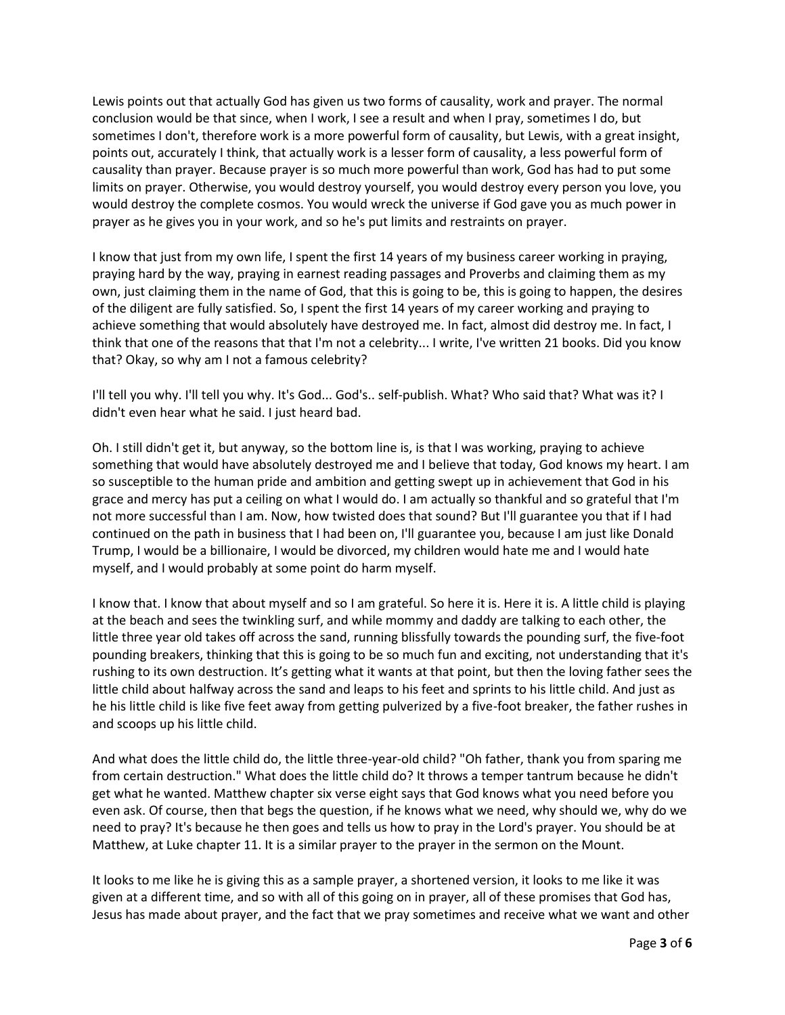Lewis points out that actually God has given us two forms of causality, work and prayer. The normal conclusion would be that since, when I work, I see a result and when I pray, sometimes I do, but sometimes I don't, therefore work is a more powerful form of causality, but Lewis, with a great insight, points out, accurately I think, that actually work is a lesser form of causality, a less powerful form of causality than prayer. Because prayer is so much more powerful than work, God has had to put some limits on prayer. Otherwise, you would destroy yourself, you would destroy every person you love, you would destroy the complete cosmos. You would wreck the universe if God gave you as much power in prayer as he gives you in your work, and so he's put limits and restraints on prayer.

I know that just from my own life, I spent the first 14 years of my business career working in praying, praying hard by the way, praying in earnest reading passages and Proverbs and claiming them as my own, just claiming them in the name of God, that this is going to be, this is going to happen, the desires of the diligent are fully satisfied. So, I spent the first 14 years of my career working and praying to achieve something that would absolutely have destroyed me. In fact, almost did destroy me. In fact, I think that one of the reasons that that I'm not a celebrity... I write, I've written 21 books. Did you know that? Okay, so why am I not a famous celebrity?

I'll tell you why. I'll tell you why. It's God... God's.. self-publish. What? Who said that? What was it? I didn't even hear what he said. I just heard bad.

Oh. I still didn't get it, but anyway, so the bottom line is, is that I was working, praying to achieve something that would have absolutely destroyed me and I believe that today, God knows my heart. I am so susceptible to the human pride and ambition and getting swept up in achievement that God in his grace and mercy has put a ceiling on what I would do. I am actually so thankful and so grateful that I'm not more successful than I am. Now, how twisted does that sound? But I'll guarantee you that if I had continued on the path in business that I had been on, I'll guarantee you, because I am just like Donald Trump, I would be a billionaire, I would be divorced, my children would hate me and I would hate myself, and I would probably at some point do harm myself.

I know that. I know that about myself and so I am grateful. So here it is. Here it is. A little child is playing at the beach and sees the twinkling surf, and while mommy and daddy are talking to each other, the little three year old takes off across the sand, running blissfully towards the pounding surf, the five-foot pounding breakers, thinking that this is going to be so much fun and exciting, not understanding that it's rushing to its own destruction. It's getting what it wants at that point, but then the loving father sees the little child about halfway across the sand and leaps to his feet and sprints to his little child. And just as he his little child is like five feet away from getting pulverized by a five-foot breaker, the father rushes in and scoops up his little child.

And what does the little child do, the little three-year-old child? "Oh father, thank you from sparing me from certain destruction." What does the little child do? It throws a temper tantrum because he didn't get what he wanted. Matthew chapter six verse eight says that God knows what you need before you even ask. Of course, then that begs the question, if he knows what we need, why should we, why do we need to pray? It's because he then goes and tells us how to pray in the Lord's prayer. You should be at Matthew, at Luke chapter 11. It is a similar prayer to the prayer in the sermon on the Mount.

It looks to me like he is giving this as a sample prayer, a shortened version, it looks to me like it was given at a different time, and so with all of this going on in prayer, all of these promises that God has, Jesus has made about prayer, and the fact that we pray sometimes and receive what we want and other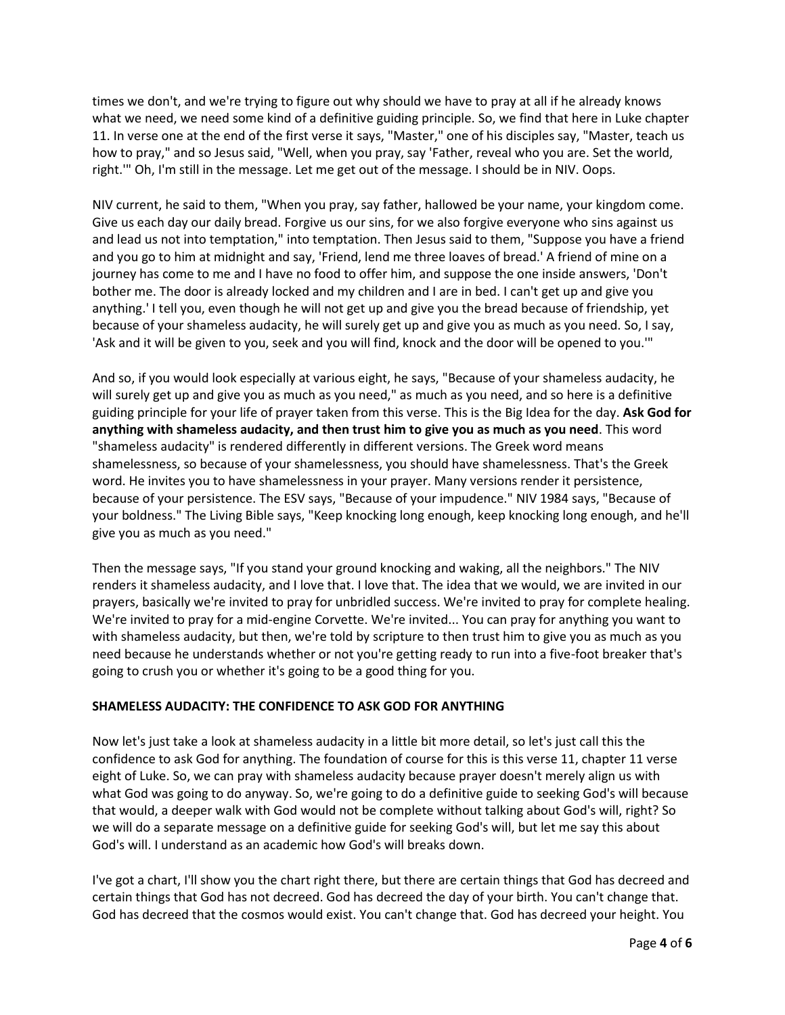times we don't, and we're trying to figure out why should we have to pray at all if he already knows what we need, we need some kind of a definitive guiding principle. So, we find that here in Luke chapter 11. In verse one at the end of the first verse it says, "Master," one of his disciples say, "Master, teach us how to pray," and so Jesus said, "Well, when you pray, say 'Father, reveal who you are. Set the world, right.'" Oh, I'm still in the message. Let me get out of the message. I should be in NIV. Oops.

NIV current, he said to them, "When you pray, say father, hallowed be your name, your kingdom come. Give us each day our daily bread. Forgive us our sins, for we also forgive everyone who sins against us and lead us not into temptation," into temptation. Then Jesus said to them, "Suppose you have a friend and you go to him at midnight and say, 'Friend, lend me three loaves of bread.' A friend of mine on a journey has come to me and I have no food to offer him, and suppose the one inside answers, 'Don't bother me. The door is already locked and my children and I are in bed. I can't get up and give you anything.' I tell you, even though he will not get up and give you the bread because of friendship, yet because of your shameless audacity, he will surely get up and give you as much as you need. So, I say, 'Ask and it will be given to you, seek and you will find, knock and the door will be opened to you.'"

And so, if you would look especially at various eight, he says, "Because of your shameless audacity, he will surely get up and give you as much as you need," as much as you need, and so here is a definitive guiding principle for your life of prayer taken from this verse. This is the Big Idea for the day. **Ask God for anything with shameless audacity, and then trust him to give you as much as you need**. This word "shameless audacity" is rendered differently in different versions. The Greek word means shamelessness, so because of your shamelessness, you should have shamelessness. That's the Greek word. He invites you to have shamelessness in your prayer. Many versions render it persistence, because of your persistence. The ESV says, "Because of your impudence." NIV 1984 says, "Because of your boldness." The Living Bible says, "Keep knocking long enough, keep knocking long enough, and he'll give you as much as you need."

Then the message says, "If you stand your ground knocking and waking, all the neighbors." The NIV renders it shameless audacity, and I love that. I love that. The idea that we would, we are invited in our prayers, basically we're invited to pray for unbridled success. We're invited to pray for complete healing. We're invited to pray for a mid-engine Corvette. We're invited... You can pray for anything you want to with shameless audacity, but then, we're told by scripture to then trust him to give you as much as you need because he understands whether or not you're getting ready to run into a five-foot breaker that's going to crush you or whether it's going to be a good thing for you.

### **SHAMELESS AUDACITY: THE CONFIDENCE TO ASK GOD FOR ANYTHING**

Now let's just take a look at shameless audacity in a little bit more detail, so let's just call this the confidence to ask God for anything. The foundation of course for this is this verse 11, chapter 11 verse eight of Luke. So, we can pray with shameless audacity because prayer doesn't merely align us with what God was going to do anyway. So, we're going to do a definitive guide to seeking God's will because that would, a deeper walk with God would not be complete without talking about God's will, right? So we will do a separate message on a definitive guide for seeking God's will, but let me say this about God's will. I understand as an academic how God's will breaks down.

I've got a chart, I'll show you the chart right there, but there are certain things that God has decreed and certain things that God has not decreed. God has decreed the day of your birth. You can't change that. God has decreed that the cosmos would exist. You can't change that. God has decreed your height. You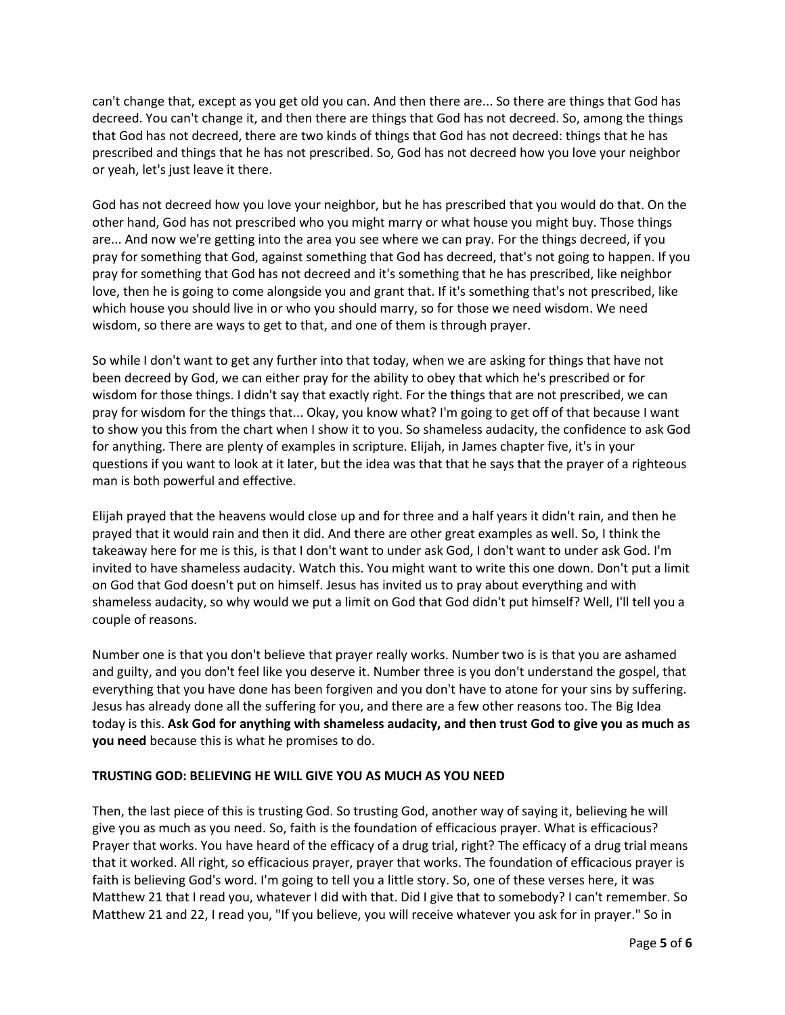can't change that, except as you get old you can. And then there are... So there are things that God has decreed. You can't change it, and then there are things that God has not decreed. So, among the things that God has not decreed, there are two kinds of things that God has not decreed: things that he has prescribed and things that he has not prescribed. So, God has not decreed how you love your neighbor or yeah, let's just leave it there.

God has not decreed how you love your neighbor, but he has prescribed that you would do that. On the other hand, God has not prescribed who you might marry or what house you might buy. Those things are... And now we're getting into the area you see where we can pray. For the things decreed, if you pray for something that God, against something that God has decreed, that's not going to happen. If you pray for something that God has not decreed and it's something that he has prescribed, like neighbor love, then he is going to come alongside you and grant that. If it's something that's not prescribed, like which house you should live in or who you should marry, so for those we need wisdom. We need wisdom, so there are ways to get to that, and one of them is through prayer.

So while I don't want to get any further into that today, when we are asking for things that have not been decreed by God, we can either pray for the ability to obey that which he's prescribed or for wisdom for those things. I didn't say that exactly right. For the things that are not prescribed, we can pray for wisdom for the things that... Okay, you know what? I'm going to get off of that because I want to show you this from the chart when I show it to you. So shameless audacity, the confidence to ask God for anything. There are plenty of examples in scripture. Elijah, in James chapter five, it's in your questions if you want to look at it later, but the idea was that that he says that the prayer of a righteous man is both powerful and effective.

Elijah prayed that the heavens would close up and for three and a half years it didn't rain, and then he prayed that it would rain and then it did. And there are other great examples as well. So, I think the takeaway here for me is this, is that I don't want to under ask God, I don't want to under ask God. I'm invited to have shameless audacity. Watch this. You might want to write this one down. Don't put a limit on God that God doesn't put on himself. Jesus has invited us to pray about everything and with shameless audacity, so why would we put a limit on God that God didn't put himself? Well, I'll tell you a couple of reasons.

Number one is that you don't believe that prayer really works. Number two is is that you are ashamed and guilty, and you don't feel like you deserve it. Number three is you don't understand the gospel, that everything that you have done has been forgiven and you don't have to atone for your sins by suffering. Jesus has already done all the suffering for you, and there are a few other reasons too. The Big Idea today is this. **Ask God for anything with shameless audacity, and then trust God to give you as much as you need** because this is what he promises to do.

#### **TRUSTING GOD: BELIEVING HE WILL GIVE YOU AS MUCH AS YOU NEED**

Then, the last piece of this is trusting God. So trusting God, another way of saying it, believing he will give you as much as you need. So, faith is the foundation of efficacious prayer. What is efficacious? Prayer that works. You have heard of the efficacy of a drug trial, right? The efficacy of a drug trial means that it worked. All right, so efficacious prayer, prayer that works. The foundation of efficacious prayer is faith is believing God's word. I'm going to tell you a little story. So, one of these verses here, it was Matthew 21 that I read you, whatever I did with that. Did I give that to somebody? I can't remember. So Matthew 21 and 22, I read you, "If you believe, you will receive whatever you ask for in prayer." So in